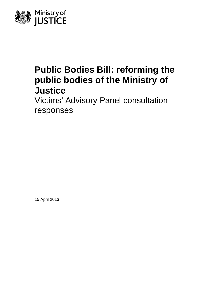

# **Public Bodies Bill: reforming the public bodies of the Ministry of Justice**

Victims' Advisory Panel consultation responses

15 April 2013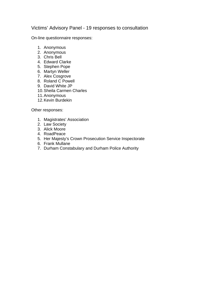### Victims' Advisory Panel - 19 responses to consultation

On-line questionnaire responses:

- 1. Anonymous
- 2. Anonymous
- 3. Chris Bell
- 4. Edward Clarke
- 5. Stephen Pope
- 6. Martyn Weller
- 7. Alex Cosgrove
- 8. Roland C Powell
- 9. David White JP
- 10. Sheila Carmen Charles
- 11. Anonymous
- 12. Kevin Burdekin

Other responses:

- 1. Magistrates' Association
- 2. Law Society
- 3. Alick Moore
- 4. RoadPeace
- 5. Her Majesty's Crown Prosecution Service Inspectorate
- 6. Frank Mullane
- 7. Durham Constabulary and Durham Police Authority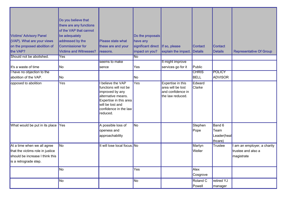| <b>Victims' Advisory Panel</b><br>(VAP). What are your views<br>on the proposed abolition of<br>the VAP?                    | Do you believe that<br>there are any functions<br>of the VAP that cannot<br>be adequately<br>addressed by the<br><b>Commissioner for</b><br><b>Victims and Witnesses?</b> | Please state what<br>these are and your<br>reasons.                                                                                                                  | Do the proposals<br>have any<br>significant direct<br>impact on you? | If so, please<br>explain the impact.                                            | <b>Contact</b><br><b>Details</b> | <b>Contact</b><br><b>Details</b>         | <b>Representative Of Group</b>                                |
|-----------------------------------------------------------------------------------------------------------------------------|---------------------------------------------------------------------------------------------------------------------------------------------------------------------------|----------------------------------------------------------------------------------------------------------------------------------------------------------------------|----------------------------------------------------------------------|---------------------------------------------------------------------------------|----------------------------------|------------------------------------------|---------------------------------------------------------------|
| Should not be abolished.                                                                                                    | Yes                                                                                                                                                                       |                                                                                                                                                                      | N <sub>o</sub>                                                       |                                                                                 |                                  |                                          |                                                               |
| It's a waste of time                                                                                                        | No                                                                                                                                                                        | seems to make<br>sence                                                                                                                                               | Yes                                                                  | It might improve<br>services go for it                                          | Public                           |                                          |                                                               |
| I have no objection to the<br>abolition of the VAP.                                                                         | No                                                                                                                                                                        |                                                                                                                                                                      | No                                                                   |                                                                                 | <b>CHRIS</b><br><b>BELL</b>      | <b>POLICY</b><br><b>ADVISOR</b>          |                                                               |
| opposed to abolition                                                                                                        | <b>Yes</b>                                                                                                                                                                | believe the VAP<br>functions will not be<br>improved by any<br>alternative means.<br>Expertise in this area<br>will be lost and<br>confidence in the law<br>reduced. | <b>Yes</b>                                                           | Expertise in this<br>area will be lost<br>and confidence in<br>the law reduced. | Edward<br>Clarke                 |                                          |                                                               |
| What would be put in its place Yes                                                                                          |                                                                                                                                                                           | A possible loss of<br>openess and<br>approachability                                                                                                                 | No                                                                   |                                                                                 | Stephen<br>Pope                  | Band 6<br>Team<br>Leader(heal<br>thcare) |                                                               |
| At a time when we all agree<br>that the victims role in justice<br>should be increase I think this<br>is a retrograde step. | <b>No</b>                                                                                                                                                                 | It will lose local focus. No                                                                                                                                         |                                                                      |                                                                                 | Martyn<br>Weller                 | Trustee                                  | am an employer, a charity<br>trustee and also a<br>magistrate |
|                                                                                                                             | No                                                                                                                                                                        |                                                                                                                                                                      | Yes                                                                  |                                                                                 | Alex<br>Cosgrove                 |                                          |                                                               |
|                                                                                                                             | No                                                                                                                                                                        |                                                                                                                                                                      | No                                                                   |                                                                                 | Roland C<br>Powell               | retired YJ<br>manager                    |                                                               |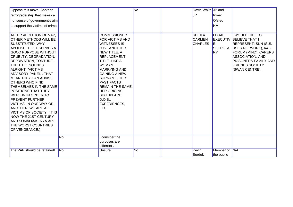| Oppose this move. Another                                                                                                                                                                                                                                                                                                                                                                                                                                                                                                                                                                                 |           |                                                                                                                                                                                                                                                                                                                                                                          | No | David White JP and                               |                                                    |                                                                                                                                                                                                                                     |
|-----------------------------------------------------------------------------------------------------------------------------------------------------------------------------------------------------------------------------------------------------------------------------------------------------------------------------------------------------------------------------------------------------------------------------------------------------------------------------------------------------------------------------------------------------------------------------------------------------------|-----------|--------------------------------------------------------------------------------------------------------------------------------------------------------------------------------------------------------------------------------------------------------------------------------------------------------------------------------------------------------------------------|----|--------------------------------------------------|----------------------------------------------------|-------------------------------------------------------------------------------------------------------------------------------------------------------------------------------------------------------------------------------------|
| retrograde step that makes a                                                                                                                                                                                                                                                                                                                                                                                                                                                                                                                                                                              |           |                                                                                                                                                                                                                                                                                                                                                                          |    | IJP                                              | firmer                                             |                                                                                                                                                                                                                                     |
| nonsense of government's aim                                                                                                                                                                                                                                                                                                                                                                                                                                                                                                                                                                              |           |                                                                                                                                                                                                                                                                                                                                                                          |    |                                                  | Ofsted                                             |                                                                                                                                                                                                                                     |
| to support the victims of crime.                                                                                                                                                                                                                                                                                                                                                                                                                                                                                                                                                                          |           |                                                                                                                                                                                                                                                                                                                                                                          |    |                                                  | HMI.                                               |                                                                                                                                                                                                                                     |
|                                                                                                                                                                                                                                                                                                                                                                                                                                                                                                                                                                                                           |           |                                                                                                                                                                                                                                                                                                                                                                          |    |                                                  |                                                    |                                                                                                                                                                                                                                     |
| <b>AFTER ABOLITION OF VAP,</b><br><b>OTHER METHODS WILL BE</b><br><b>SUBSTITUTED. WHY</b><br>ABOLISH IT IF IT SERVES A<br><b>GOOD PURPOSE WITHOUT</b><br>CRUELTY, DEGRADATION,<br>DEPRIVATION, TORTURE.<br><b>THE TITLE SOUNDS</b><br>ALRIGHT. "VICTIMS<br>ADVISORY PANEL". THAT<br>MEAN THEY CAN ADVISE<br><b>OTHERS WHO FIND</b><br>THEMSELVES IN THE SAME<br><b>POSITIONS THAT THEY</b><br><b>WERE IN IN ORDER TO</b><br><b>PREVENT FURTHER</b><br>VICTIMS. IN ONE WAY OR<br>ANOTHER, WE ARE ALL<br>VICTIMS OF SOCIETY. (IT IS<br>NOW THE 21ST CENTURY<br>AND SOMALIA/KENYA ARE<br>THE WORST COUNTRIES |           | <b>COMMISSIONER</b><br>FOR VICTIMS AND<br><b>WITNESSES IS</b><br><b>JUST ANOTHER</b><br>NEW TITLE. A<br><b>REPLACEMENT</b><br><b>TITLE. LIKE A</b><br><b>WOMAN</b><br><b>MARRYING AND</b><br><b>GAINING A NEW</b><br><b>SURNAME. HER</b><br><b>PAST FACTS</b><br><b>REMAIN THE SAME.</b><br>HER ORIGINS,<br><b>BIRTHPLACE,</b><br>D.O.B.,<br><b>EXPERIENCES,</b><br>ETC. |    | <b>SHEILA</b><br><b>CARMEN</b><br><b>CHARLES</b> | <b>LEGAL</b><br>IE.<br><b>SECRETA</b><br><b>RY</b> | I WOULD LIKE TO<br><b>EXECUTIV BELIEVE THAT I</b><br><b>REPRESENT: SUN (SUN</b><br>USER NETWORK), K&C<br>FORUM (MIND), CARERS<br><b>ASSOCIATION, AND</b><br><b>PRISONERS FAMILY AND</b><br><b>FRIENDS SOCIETY</b><br>(SWAN CENTRE). |
| <b>OF VENGEANCE.)</b>                                                                                                                                                                                                                                                                                                                                                                                                                                                                                                                                                                                     |           |                                                                                                                                                                                                                                                                                                                                                                          |    |                                                  |                                                    |                                                                                                                                                                                                                                     |
|                                                                                                                                                                                                                                                                                                                                                                                                                                                                                                                                                                                                           | No        | consider the                                                                                                                                                                                                                                                                                                                                                             |    |                                                  |                                                    |                                                                                                                                                                                                                                     |
|                                                                                                                                                                                                                                                                                                                                                                                                                                                                                                                                                                                                           |           | purposes are<br>different.                                                                                                                                                                                                                                                                                                                                               |    |                                                  |                                                    |                                                                                                                                                                                                                                     |
| The VAP should be retained!                                                                                                                                                                                                                                                                                                                                                                                                                                                                                                                                                                               | <b>No</b> | Unsure                                                                                                                                                                                                                                                                                                                                                                   | No | Kevin<br>Burdekin                                | Member of N/A<br>the public                        |                                                                                                                                                                                                                                     |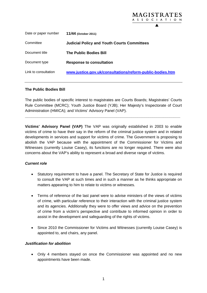| 11/44 (October 2011)                                      |
|-----------------------------------------------------------|
| <b>Judicial Policy and Youth Courts Committees</b>        |
| <b>The Public Bodies Bill</b>                             |
| <b>Response to consultation</b>                           |
| www.justice.gov.uk/consultations/reform-public-bodies.htm |
|                                                           |

MAGISTRATES A S S O C I A T I O N

#### **The Public Bodies Bill**

The public bodies of specific interest to magistrates are Courts Boards; Magistrates' Courts Rule Committee (MCRC); Youth Justice Board (YJB); Her Majesty's Inspectorate of Court Administration (HMICA); and Victims' Advisory Panel (VAP).

**\_\_\_\_\_\_\_\_\_\_\_\_\_\_\_\_\_\_\_\_\_\_\_\_\_\_\_\_\_\_\_\_\_\_\_\_\_\_\_\_\_\_\_\_\_\_\_\_\_\_\_\_\_\_\_\_\_\_\_\_\_\_\_\_\_\_\_\_\_\_\_\_\_** 

**Victims' Advisory Panel (VAP)** The VAP was originally established in 2003 to enable victims of crime to have their say in the reform of the criminal justice system and in related developments in services and support for victims of crime. The Government is proposing to abolish the VAP because with the appointment of the Commissioner for Victims and Witnesses (currently Louise Casey), its functions are no longer required. There were also concerns about the VAP's ability to represent a broad and diverse range of victims.

#### *Current role*

- Statutory requirement to have a panel. The Secretary of State for Justice is required to consult the VAP at such times and in such a manner as he thinks appropriate on matters appearing to him to relate to victims or witnesses.
- Terms of reference of the last panel were to advise ministers of the views of victims of crime, with particular reference to their interaction with the criminal justice system and its agencies. Additionally they were to offer views and advice on the prevention of crime from a victim's perspective and contribute to informed opinion in order to assist in the development and safeguarding of the rights of victims.
- Since 2010 the Commissioner for Victims and Witnesses (currently Louise Casey) is appointed to, and chairs, any panel.

#### *Justification for abolition*

 Only 4 members stayed on once the Commissioner was appointed and no new appointments have been made.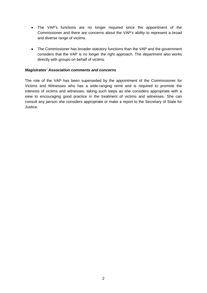- The VAP's functions are no longer required since the appointment of the Commissioner and there are concerns about the VAP's ability to represent a broad and diverse range of victims.
- The Commissioner has broader statutory functions than the VAP and the government considers that the VAP is no longer the right approach. The department also works directly with groups on behalf of victims.

#### *Magistrates' Association comments and concerns*

The role of the VAP has been superseded by the appointment of the Commissioner for Victims and Witnesses who has a wide-ranging remit and is required to promote the interests of victims and witnesses, taking such steps as she considers appropriate with a view to encouraging good practice in the treatment of victims and witnesses. She can consult any person she considers appropriate or make a report to the Secretary of State for Justice.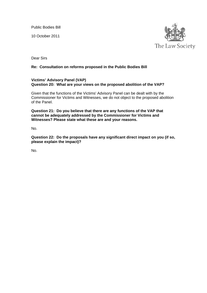Public Bodies Bill

10 October 2011



Dear Sirs

#### **Re: Consultation on reforms proposed in the Public Bodies Bill**

#### **Victims' Advisory Panel (VAP) Question 20: What are your views on the proposed abolition of the VAP?**

Given that the functions of the Victims' Advisory Panel can be dealt with by the Commissioner for Victims and Witnesses, we do not object to the proposed abolition of the Panel.

**Question 21: Do you believe that there are any functions of the VAP that cannot be adequately addressed by the Commissioner for Victims and Witnesses? Please state what these are and your reasons.** 

No.

**Question 22: Do the proposals have any significant direct impact on you (if so, please explain the impact)?** 

No.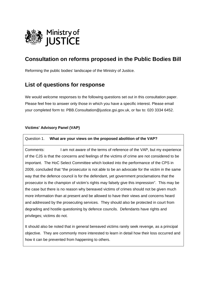

Reforming the public bodies' landscape of the Ministry of Justice.

### **List of questions for response**

We would welcome responses to the following questions set out in this consultation paper. Please feel free to answer only those in which you have a specific interest. Please email your completed form to: PBB.Consultation@justice.gsi.gov.uk, or fax to: 020 3334 6452.

### **Victims' Advisory Panel (VAP)**

#### Question 1. **What are your views on the proposed abolition of the VAP?**

Comments: I am not aware of the terms of reference of the VAP, but my experience of the CJS is that the concerns and feelings of the victims of crime are not considered to be important. The HoC Select Committee which looked into the performance of the CPS in 2009, concluded that "the prosecutor is not able to be an advocate for the victim in the same way that the defence council is for the defendant, yet government proclamations that the prosecutor is the champion of victim's rights may falsely give this impression". This may be the case but there is no reason why bereaved victims of crimes should not be given much more information than at present and be allowed to have their views and concerns heard and addressed by the prosecuting services. They should also be protected in court from degrading and hostile questioning by defence councils. Defendants have rights and privileges; victims do not.

It should also be noted that in general bereaved victims rarely seek revenge, as a principal objective. They are commonly more interested to learn in detail how their loss occurred and how it can be prevented from happening to others.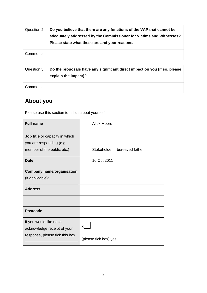| Question 2. | Do you believe that there are any functions of the VAP that cannot be |
|-------------|-----------------------------------------------------------------------|
|             | adequately addressed by the Commissioner for Victims and Witnesses?   |
|             | Please state what these are and your reasons.                         |

Comments:

| Question 3.          | Do the proposals have any significant direct impact on you (if so, please |
|----------------------|---------------------------------------------------------------------------|
| explain the impact)? |                                                                           |

Comments:

# **About you**

Please use this section to tell us about yourself

| <b>Full name</b>                                                                         | <b>Alick Moore</b>            |
|------------------------------------------------------------------------------------------|-------------------------------|
| Job title or capacity in which<br>you are responding (e.g.<br>member of the public etc.) | Stakeholder - bereaved father |
| <b>Date</b>                                                                              | 10 Oct 2011                   |
| <b>Company name/organisation</b><br>(if applicable):                                     |                               |
| <b>Address</b>                                                                           |                               |
|                                                                                          |                               |
| <b>Postcode</b>                                                                          |                               |
| If you would like us to<br>acknowledge receipt of your<br>response, please tick this box | x<br>(please tick box) yes    |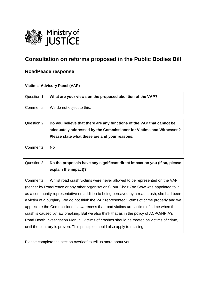

### **RoadPeace response**

#### **Victims' Advisory Panel (VAP)**

Question 1. **What are your views on the proposed abolition of the VAP?** 

Comments: We do not object to this.

### Question 2. **Do you believe that there are any functions of the VAP that cannot be adequately addressed by the Commissioner for Victims and Witnesses? Please state what these are and your reasons.**

Comments: No

### Question 3. **Do the proposals have any significant direct impact on you (if so, please explain the impact)?**

Comments: Whilst road crash victims were never allowed to be represented on the VAP (neither by RoadPeace or any other organisations), our Chair Zoe Stow was appointed to it as a community representative (in addition to being bereaved by a road crash, she had been a victim of a burglary. We do not think the VAP represented victims of crime properly and we appreciate the Commissioner's awareness that road victims are victims of crime when the crash is caused by law breaking. But we also think that as in the policy of ACPO/NPIA's Road Death Investigation Manual, victims of crashes should be treated as victims of crime, until the contrary is proven. This principle should also apply to missing

Please complete the section overleaf to tell us more about you.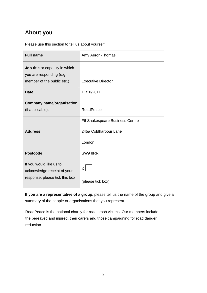Please use this section to tell us about yourself

| <b>Full name</b>                                                                                | Amy Aeron-Thomas               |
|-------------------------------------------------------------------------------------------------|--------------------------------|
| <b>Job title</b> or capacity in which<br>you are responding (e.g.<br>member of the public etc.) | <b>Executive Director</b>      |
| <b>Date</b>                                                                                     | 11/10/2011                     |
| <b>Company name/organisation</b><br>(if applicable):                                            | RoadPeace                      |
|                                                                                                 | F6 Shakespeare Business Centre |
| <b>Address</b>                                                                                  | 245a Coldharbour Lane          |
|                                                                                                 | London                         |
| <b>Postcode</b>                                                                                 | SW98RR                         |
| If you would like us to<br>acknowledge receipt of your<br>response, please tick this box        | X<br>(please tick box)         |

**If you are a representative of a group**, please tell us the name of the group and give a summary of the people or organisations that you represent.

RoadPeace is the national charity for road crash victims. Our members include the bereaved and injured, their carers and those campaigning for road danger reduction.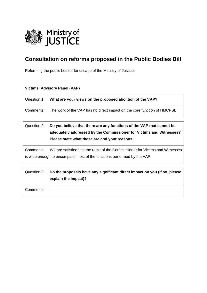

Reforming the public bodies' landscape of the Ministry of Justice.

### **Victims' Advisory Panel (VAP)**

| Question 1. What are your views on the proposed abolition of the VAP?              |
|------------------------------------------------------------------------------------|
| Comments: The work of the VAP has no direct impact on the core function of HMCPSI. |

Question 2. **Do you believe that there are any functions of the VAP that cannot be adequately addressed by the Commissioner for Victims and Witnesses? Please state what these are and your reasons.** 

Comments: We are satisfied that the remit of the Commissioner for Victims and Witnesses is wide enough to encompass most of the functions performed by the VAP.

Question 3. **Do the proposals have any significant direct impact on you (if so, please explain the impact)?** 

Comments: -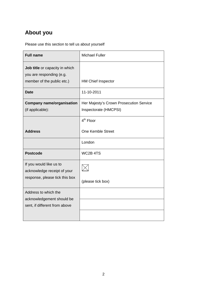Please use this section to tell us about yourself

| <b>Full name</b>                                                                         | <b>Michael Fuller</b>                                            |
|------------------------------------------------------------------------------------------|------------------------------------------------------------------|
| Job title or capacity in which<br>you are responding (e.g.<br>member of the public etc.) | <b>HM Chief Inspector</b>                                        |
| <b>Date</b>                                                                              | 11-10-2011                                                       |
| <b>Company name/organisation</b><br>(if applicable):                                     | Her Majesty's Crown Prosecution Service<br>Inspectorate (HMCPSI) |
|                                                                                          | $4th$ Floor                                                      |
| <b>Address</b>                                                                           | <b>One Kemble Street</b>                                         |
|                                                                                          | London                                                           |
| <b>Postcode</b>                                                                          | WC2B 4TS                                                         |
| If you would like us to<br>acknowledge receipt of your                                   |                                                                  |
| response, please tick this box                                                           | (please tick box)                                                |
| Address to which the                                                                     |                                                                  |
| acknowledgement should be<br>sent, if different from above                               |                                                                  |
|                                                                                          |                                                                  |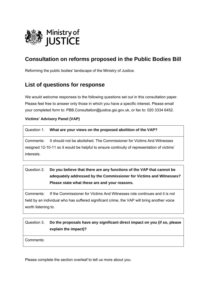

Reforming the public bodies' landscape of the Ministry of Justice.

### **List of questions for response**

We would welcome responses to the following questions set out in this consultation paper. Please feel free to answer only those in which you have a specific interest. Please email your completed form to: PBB.Consultation@justice.gsi.gov.uk, or fax to: 020 3334 6452.

### **Victims' Advisory Panel (VAP)**

#### Question 1. **What are your views on the proposed abolition of the VAP?**

Comments: It should not be abolished. The Commissioner for Victims And Witnesses resigned 12-10-11 so it would be helpful to ensure continuity of representation of victims' interests.

### Question 2. **Do you believe that there are any functions of the VAP that cannot be adequately addressed by the Commissioner for Victims and Witnesses? Please state what these are and your reasons.**

Comments: If the Commissioner for Victims And Witnesses role continues and it is not held by an individual who has suffered significant crime, the VAP will bring another voice worth listening to.

# Question 3. **Do the proposals have any significant direct impact on you (if so, please explain the impact)?**  Comments:

Please complete the section overleaf to tell us more about you.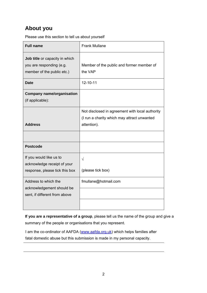Please use this section to tell us about yourself

| <b>Full name</b>                                                                         | <b>Frank Mullane</b>                                                                                          |
|------------------------------------------------------------------------------------------|---------------------------------------------------------------------------------------------------------------|
| Job title or capacity in which<br>you are responding (e.g.<br>member of the public etc.) | Member of the public and former member of<br>the VAP                                                          |
| <b>Date</b>                                                                              | 12-10-11                                                                                                      |
| <b>Company name/organisation</b><br>(if applicable):                                     |                                                                                                               |
| <b>Address</b>                                                                           | Not disclosed in agreement with local authority<br>(I run a charity which may attract unwanted<br>attention). |
|                                                                                          |                                                                                                               |
| <b>Postcode</b>                                                                          |                                                                                                               |
| If you would like us to<br>acknowledge receipt of your<br>response, please tick this box | $\sqrt{}$<br>(please tick box)                                                                                |
| Address to which the<br>acknowledgement should be<br>sent, if different from above       | fmullane@hotmail.com                                                                                          |

**If you are a representative of a group**, please tell us the name of the group and give a summary of the people or organisations that you represent.

I am the co-ordinator of AAFDA ([www.aafda.org.uk](http://www.aafda.org.uk/)) which helps families after fatal domestic abuse but this submission is made in my personal capacity.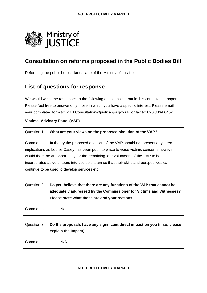

Reforming the public bodies' landscape of the Ministry of Justice.

### **List of questions for response**

We would welcome responses to the following questions set out in this consultation paper. Please feel free to answer only those in which you have a specific interest. Please email your completed form to: PBB.Consultation@justice.gsi.gov.uk, or fax to: 020 3334 6452.

### **Victims' Advisory Panel (VAP)**

| Question 1. What are your views on the proposed abolition of the VAP? |
|-----------------------------------------------------------------------|
|                                                                       |

Comments: In theory the proposed abolition of the VAP should not present any direct implications as Louise Casey has been put into place to voice victims concerns however would there be an opportunity for the remaining four volunteers of the VAP to be incorporated as volunteers into Louise's team so that their skills and perspectives can continue to be used to develop services etc.

|           | Question 2. Do you believe that there are any functions of the VAP that cannot be<br>adequately addressed by the Commissioner for Victims and Witnesses?<br>Please state what these are and your reasons. |
|-----------|-----------------------------------------------------------------------------------------------------------------------------------------------------------------------------------------------------------|
| Comments: | No                                                                                                                                                                                                        |

Question 3. **Do the proposals have any significant direct impact on you (if so, please explain the impact)?**  Comments: N/A